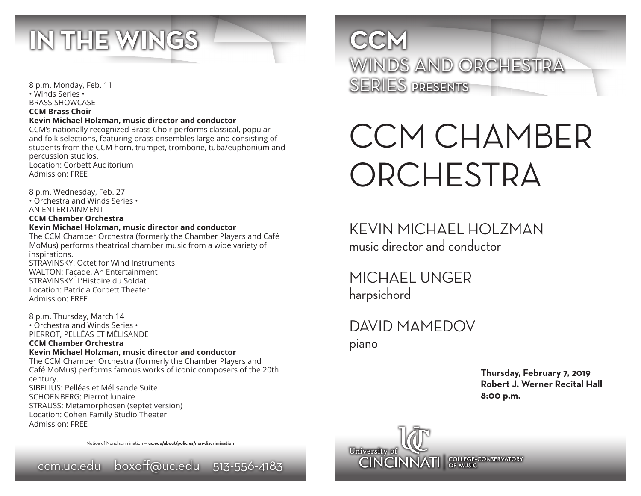

8 p.m. Monday, Feb. 11 • Winds Series • BRASS SHOWCASE **CCM Brass Choir Kevin Michael Holzman, music director and conductor** CCM's nationally recognized Brass Choir performs classical, popular

and folk selections, featuring brass ensembles large and consisting of students from the CCM horn, trumpet, trombone, tuba/euphonium and percussion studios. Location: Corbett Auditorium

Admission: FREE

8 p.m. Wednesday, Feb. 27 • Orchestra and Winds Series • AN ENTERTAINMENT **CCM Chamber Orchestra**

## **Kevin Michael Holzman, music director and conductor**

The CCM Chamber Orchestra (formerly the Chamber Players and Café MoMus) performs theatrical chamber music from a wide variety of inspirations.

STRAVINSKY: Octet for Wind Instruments WALTON: Façade, An Entertainment STRAVINSKY: L'Histoire du Soldat Location: Patricia Corbett Theater Admission: FREE

8 p.m. Thursday, March 14 • Orchestra and Winds Series • PIERROT, PELLÉAS ET MÉLISANDE

#### **CCM Chamber Orchestra Kevin Michael Holzman, music director and conductor**

The CCM Chamber Orchestra (formerly the Chamber Players and Café MoMus) performs famous works of iconic composers of the 20th century. SIBELIUS: Pelléas et Mélisande Suite SCHOENBERG: Pierrot lunaire STRAUSS: Metamorphosen (septet version) Location: Cohen Family Studio Theater Admission: FREE

Notice of Nondiscrimination — **uc.edu/about/policies/non-discrimination**



WINDS AND ORCHESTRA SERIES PRESENTS

# CCM CHAMBER ORCHESTRA

KEVIN MICHAEL HOLZMAN music director and conductor

MICHAEL UNGER harpsichord

DAVID MAMEDOV piano

> **Thursday, February 7, 2019 Robert J. Werner Recital Hall 8:00 p.m.**